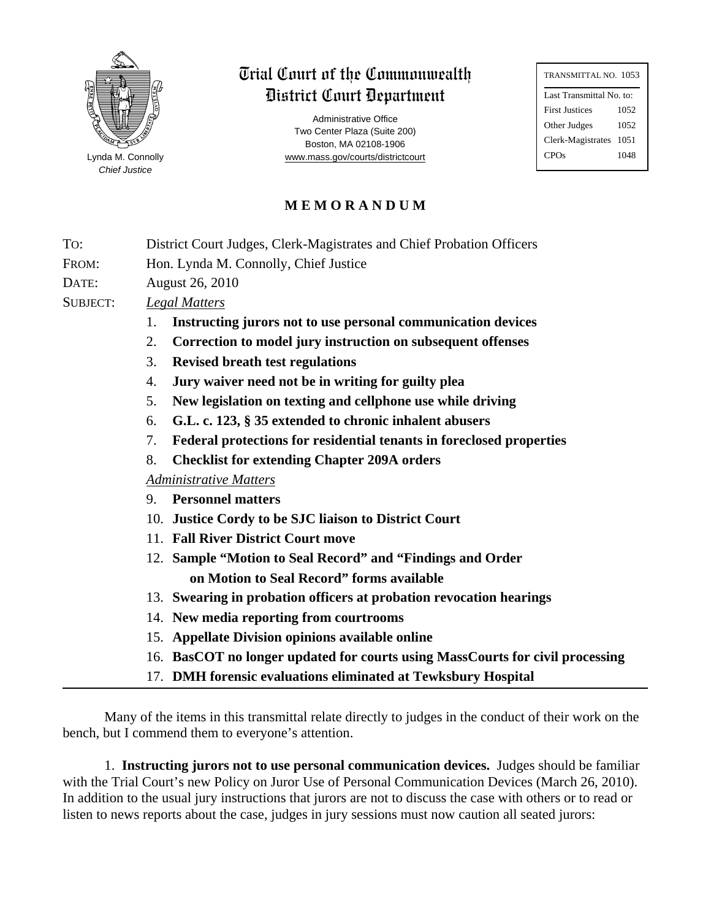

*Chief Justice*

Trial Court of the Commonwealth District Court Department

Administrative Office Two Center Plaza (Suite 200) Boston, MA 02108-1906 Lynda M. Connolly **www.mass.gov/courts/districtcourt** 

| TRANSMITTAL NO. 1053     |      |  |  |
|--------------------------|------|--|--|
| Last Transmittal No. to: |      |  |  |
| <b>First Justices</b>    | 1052 |  |  |
| Other Judges             | 1052 |  |  |
| Clerk-Magistrates        | 1051 |  |  |
| CPOs                     | 1048 |  |  |
|                          |      |  |  |

## **M E M O R A N D U M**

| To:             | District Court Judges, Clerk-Magistrates and Chief Probation Officers         |  |  |
|-----------------|-------------------------------------------------------------------------------|--|--|
| FROM:           | Hon. Lynda M. Connolly, Chief Justice                                         |  |  |
| DATE:           | August 26, 2010                                                               |  |  |
| <b>SUBJECT:</b> | <b>Legal Matters</b>                                                          |  |  |
|                 | Instructing jurors not to use personal communication devices<br>1.            |  |  |
|                 | 2.<br>Correction to model jury instruction on subsequent offenses             |  |  |
|                 | 3.<br><b>Revised breath test regulations</b>                                  |  |  |
|                 | Jury waiver need not be in writing for guilty plea<br>4.                      |  |  |
|                 | New legislation on texting and cellphone use while driving<br>5.              |  |  |
|                 | G.L. c. 123, § 35 extended to chronic inhalent abusers<br>6.                  |  |  |
|                 | Federal protections for residential tenants in foreclosed properties<br>7.    |  |  |
|                 | 8.<br><b>Checklist for extending Chapter 209A orders</b>                      |  |  |
|                 | <b>Administrative Matters</b>                                                 |  |  |
|                 | <b>Personnel matters</b><br>9.                                                |  |  |
|                 | 10. Justice Cordy to be SJC liaison to District Court                         |  |  |
|                 | 11. Fall River District Court move                                            |  |  |
|                 | 12. Sample "Motion to Seal Record" and "Findings and Order                    |  |  |
|                 | on Motion to Seal Record" forms available                                     |  |  |
|                 | 13. Swearing in probation officers at probation revocation hearings           |  |  |
|                 | 14. New media reporting from courtrooms                                       |  |  |
|                 | 15. Appellate Division opinions available online                              |  |  |
|                 | 16. BasCOT no longer updated for courts using MassCourts for civil processing |  |  |
|                 | 17. DMH forensic evaluations eliminated at Tewksbury Hospital                 |  |  |
|                 |                                                                               |  |  |

Many of the items in this transmittal relate directly to judges in the conduct of their work on the bench, but I commend them to everyone's attention.

1. **Instructing jurors not to use personal communication devices.** Judges should be familiar with the Trial Court's new Policy on Juror Use of Personal Communication Devices (March 26, 2010). In addition to the usual jury instructions that jurors are not to discuss the case with others or to read or listen to news reports about the case, judges in jury sessions must now caution all seated jurors: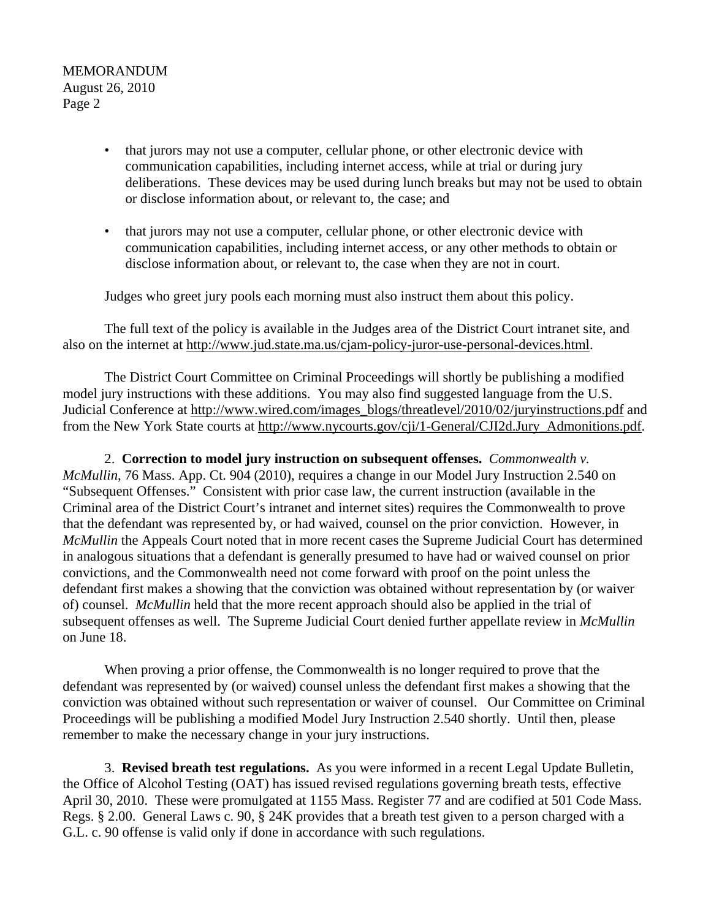- that jurors may not use a computer, cellular phone, or other electronic device with communication capabilities, including internet access, while at trial or during jury deliberations. These devices may be used during lunch breaks but may not be used to obtain or disclose information about, or relevant to, the case; and
- that jurors may not use a computer, cellular phone, or other electronic device with communication capabilities, including internet access, or any other methods to obtain or disclose information about, or relevant to, the case when they are not in court.

Judges who greet jury pools each morning must also instruct them about this policy.

The full text of the policy is available in the Judges area of the District Court intranet site, and also on the internet at http://www.jud.state.ma.us/cjam-policy-juror-use-personal-devices.html.

The District Court Committee on Criminal Proceedings will shortly be publishing a modified model jury instructions with these additions. You may also find suggested language from the U.S. Judicial Conference at http://www.wired.com/images\_blogs/threatlevel/2010/02/juryinstructions.pdf and from the New York State courts at http://www.nycourts.gov/cji/1-General/CJI2d.Jury\_Admonitions.pdf.

2. **Correction to model jury instruction on subsequent offenses.** *Commonwealth v. McMullin,* 76 Mass. App. Ct. 904 (2010), requires a change in our Model Jury Instruction 2.540 on "Subsequent Offenses." Consistent with prior case law, the current instruction (available in the Criminal area of the District Court's intranet and internet sites) requires the Commonwealth to prove that the defendant was represented by, or had waived, counsel on the prior conviction. However, in *McMullin* the Appeals Court noted that in more recent cases the Supreme Judicial Court has determined in analogous situations that a defendant is generally presumed to have had or waived counsel on prior convictions, and the Commonwealth need not come forward with proof on the point unless the defendant first makes a showing that the conviction was obtained without representation by (or waiver of) counsel. *McMullin* held that the more recent approach should also be applied in the trial of subsequent offenses as well. The Supreme Judicial Court denied further appellate review in *McMullin* on June 18.

When proving a prior offense, the Commonwealth is no longer required to prove that the defendant was represented by (or waived) counsel unless the defendant first makes a showing that the conviction was obtained without such representation or waiver of counsel. Our Committee on Criminal Proceedings will be publishing a modified Model Jury Instruction 2.540 shortly. Until then, please remember to make the necessary change in your jury instructions.

3. **Revised breath test regulations.** As you were informed in a recent Legal Update Bulletin, the Office of Alcohol Testing (OAT) has issued revised regulations governing breath tests, effective April 30, 2010. These were promulgated at 1155 Mass. Register 77 and are codified at 501 Code Mass. Regs. § 2.00. General Laws c. 90, § 24K provides that a breath test given to a person charged with a G.L. c. 90 offense is valid only if done in accordance with such regulations.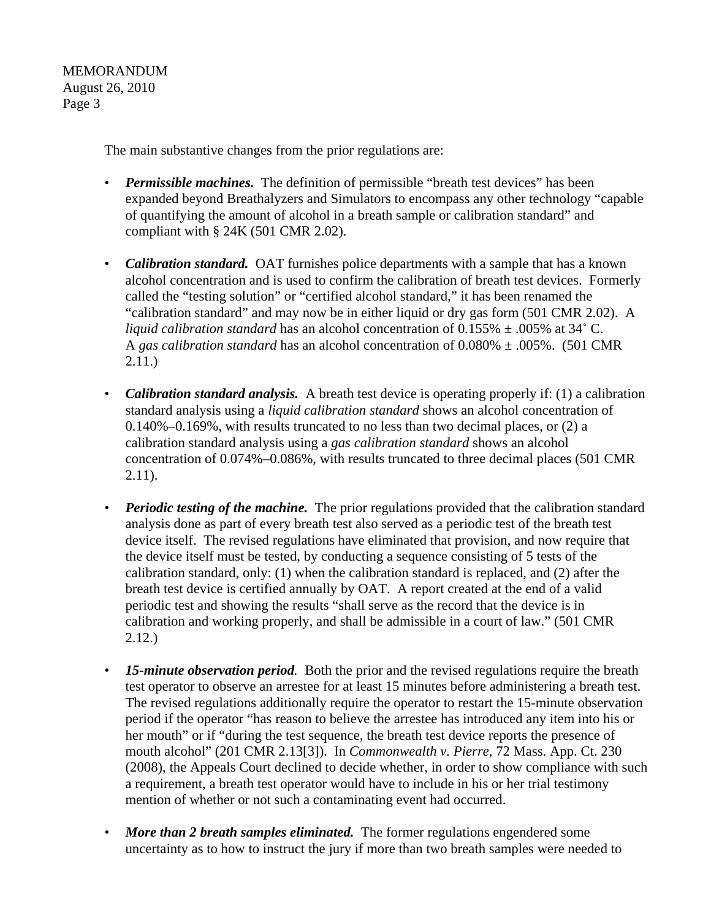The main substantive changes from the prior regulations are:

- *Permissible machines*. The definition of permissible "breath test devices" has been expanded beyond Breathalyzers and Simulators to encompass any other technology "capable of quantifying the amount of alcohol in a breath sample or calibration standard" and compliant with § 24K (501 CMR 2.02).
- *Calibration standard.* OAT furnishes police departments with a sample that has a known alcohol concentration and is used to confirm the calibration of breath test devices. Formerly called the "testing solution" or "certified alcohol standard," it has been renamed the "calibration standard" and may now be in either liquid or dry gas form (501 CMR 2.02). A *liquid calibration standard* has an alcohol concentration of  $0.155\% \pm .005\%$  at  $34^{\circ}$  C. A *gas calibration standard* has an alcohol concentration of 0.080% ± .005%. (501 CMR 2.11.)
- *Calibration standard analysis.* A breath test device is operating properly if: (1) a calibration standard analysis using a *liquid calibration standard* shows an alcohol concentration of  $0.140\%$ –0.169%, with results truncated to no less than two decimal places, or  $(2)$  a calibration standard analysis using a *gas calibration standard* shows an alcohol concentration of 0.074%–0.086%, with results truncated to three decimal places (501 CMR 2.11).
- *Periodic testing of the machine*. The prior regulations provided that the calibration standard analysis done as part of every breath test also served as a periodic test of the breath test device itself. The revised regulations have eliminated that provision, and now require that the device itself must be tested, by conducting a sequence consisting of 5 tests of the calibration standard, only: (1) when the calibration standard is replaced, and (2) after the breath test device is certified annually by OAT. A report created at the end of a valid periodic test and showing the results "shall serve as the record that the device is in calibration and working properly, and shall be admissible in a court of law." (501 CMR 2.12.)
- 15-minute observation period. Both the prior and the revised regulations require the breath test operator to observe an arrestee for at least 15 minutes before administering a breath test. The revised regulations additionally require the operator to restart the 15-minute observation period if the operator "has reason to believe the arrestee has introduced any item into his or her mouth" or if "during the test sequence, the breath test device reports the presence of mouth alcohol" (201 CMR 2.13[3]). In *Commonwealth v. Pierre,* 72 Mass. App. Ct. 230 (2008), the Appeals Court declined to decide whether, in order to show compliance with such a requirement, a breath test operator would have to include in his or her trial testimony mention of whether or not such a contaminating event had occurred.
- *More than 2 breath samples eliminated.* The former regulations engendered some uncertainty as to how to instruct the jury if more than two breath samples were needed to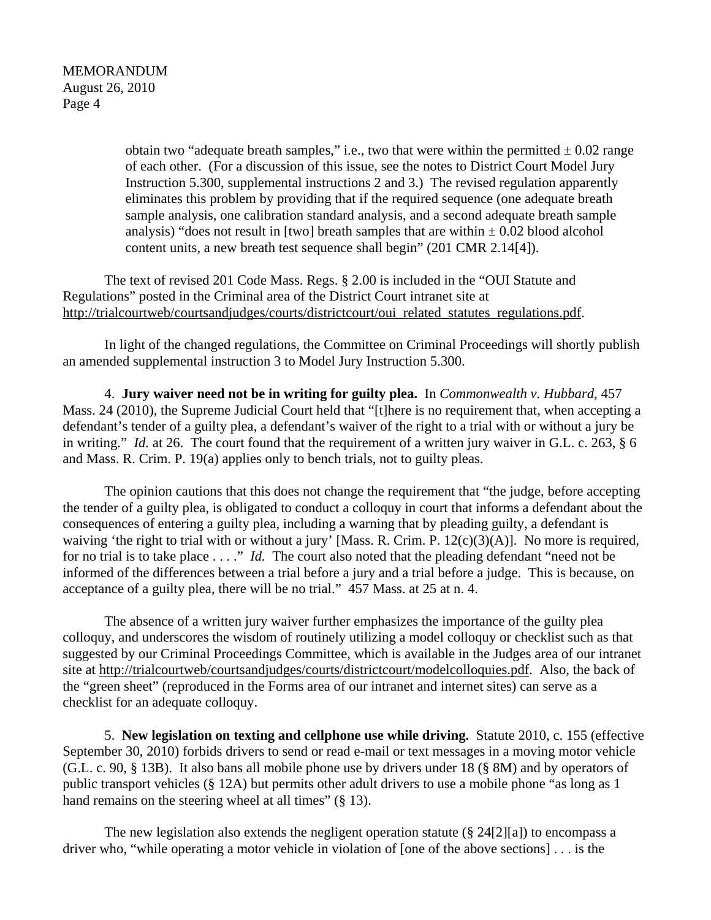> obtain two "adequate breath samples," i.e., two that were within the permitted  $\pm$  0.02 range of each other. (For a discussion of this issue, see the notes to District Court Model Jury Instruction 5.300, supplemental instructions 2 and 3.) The revised regulation apparently eliminates this problem by providing that if the required sequence (one adequate breath sample analysis, one calibration standard analysis, and a second adequate breath sample analysis) "does not result in [two] breath samples that are within  $\pm$  0.02 blood alcohol content units, a new breath test sequence shall begin" (201 CMR 2.14[4]).

The text of revised 201 Code Mass. Regs. § 2.00 is included in the "OUI Statute and Regulations" posted in the Criminal area of the District Court intranet site at http://trialcourtweb/courtsandjudges/courts/districtcourt/oui\_related\_statutes\_regulations.pdf.

In light of the changed regulations, the Committee on Criminal Proceedings will shortly publish an amended supplemental instruction 3 to Model Jury Instruction 5.300.

4. **Jury waiver need not be in writing for guilty plea.** In *Commonwealth v. Hubbard,* 457 Mass. 24 (2010), the Supreme Judicial Court held that "[t]here is no requirement that, when accepting a defendant's tender of a guilty plea, a defendant's waiver of the right to a trial with or without a jury be in writing." *Id.* at 26. The court found that the requirement of a written jury waiver in G.L. c. 263, § 6 and Mass. R. Crim. P. 19(a) applies only to bench trials, not to guilty pleas.

The opinion cautions that this does not change the requirement that "the judge, before accepting the tender of a guilty plea, is obligated to conduct a colloquy in court that informs a defendant about the consequences of entering a guilty plea, including a warning that by pleading guilty, a defendant is waiving 'the right to trial with or without a jury' [Mass. R. Crim. P. 12(c)(3)(A)]. No more is required, for no trial is to take place . . . ." *Id.* The court also noted that the pleading defendant "need not be informed of the differences between a trial before a jury and a trial before a judge. This is because, on acceptance of a guilty plea, there will be no trial." 457 Mass. at 25 at n. 4.

The absence of a written jury waiver further emphasizes the importance of the guilty plea colloquy, and underscores the wisdom of routinely utilizing a model colloquy or checklist such as that suggested by our Criminal Proceedings Committee, which is available in the Judges area of our intranet site at http://trialcourtweb/courtsandjudges/courts/districtcourt/modelcolloquies.pdf. Also, the back of the "green sheet" (reproduced in the Forms area of our intranet and internet sites) can serve as a checklist for an adequate colloquy.

5. **New legislation on texting and cellphone use while driving.** Statute 2010, c. 155 (effective September 30, 2010) forbids drivers to send or read e-mail or text messages in a moving motor vehicle (G.L. c. 90, § 13B). It also bans all mobile phone use by drivers under 18 (§ 8M) and by operators of public transport vehicles (§ 12A) but permits other adult drivers to use a mobile phone "as long as 1 hand remains on the steering wheel at all times" (§ 13).

The new legislation also extends the negligent operation statute  $(\frac{8}{24}[2][a])$  to encompass a driver who, "while operating a motor vehicle in violation of [one of the above sections] . . . is the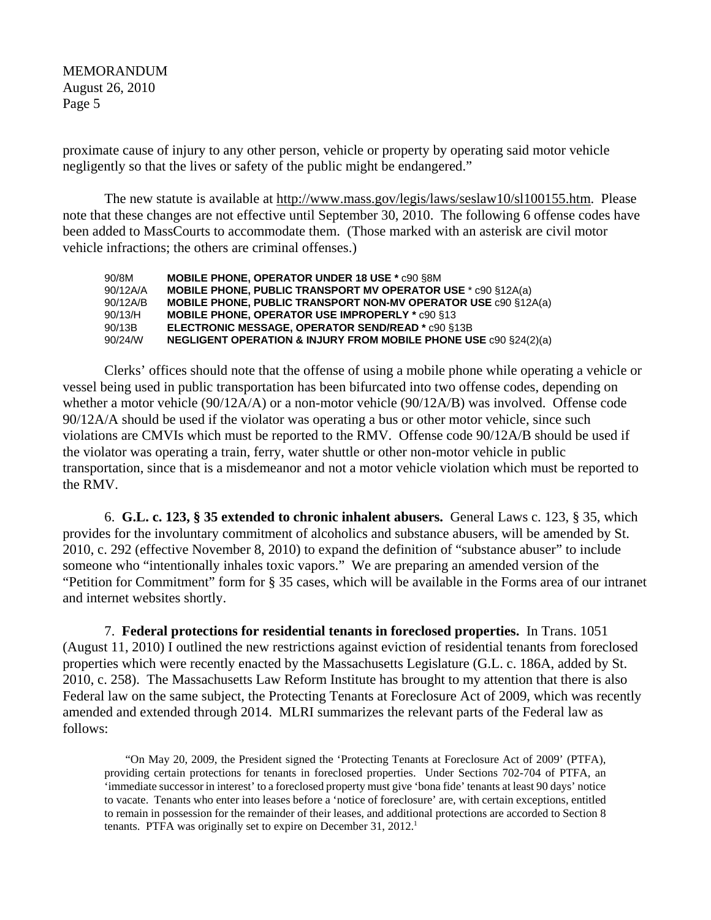proximate cause of injury to any other person, vehicle or property by operating said motor vehicle negligently so that the lives or safety of the public might be endangered."

The new statute is available at http://www.mass.gov/legis/laws/seslaw10/sl100155.htm. Please note that these changes are not effective until September 30, 2010. The following 6 offense codes have been added to MassCourts to accommodate them. (Those marked with an asterisk are civil motor vehicle infractions; the others are criminal offenses.)

| 90/8M    | <b>MOBILE PHONE, OPERATOR UNDER 18 USE * c90 S8M</b>                        |
|----------|-----------------------------------------------------------------------------|
| 90/12A/A | <b>MOBILE PHONE, PUBLIC TRANSPORT MV OPERATOR USE * c90 §12A(a)</b>         |
| 90/12A/B | <b>MOBILE PHONE, PUBLIC TRANSPORT NON-MV OPERATOR USE C90 §12A(a)</b>       |
| 90/13/H  | <b>MOBILE PHONE, OPERATOR USE IMPROPERLY * C90 §13</b>                      |
| 90/13B   | ELECTRONIC MESSAGE, OPERATOR SEND/READ * c90 §13B                           |
| 90/24/W  | <b>NEGLIGENT OPERATION &amp; INJURY FROM MOBILE PHONE USE c90 §24(2)(a)</b> |

Clerks' offices should note that the offense of using a mobile phone while operating a vehicle or vessel being used in public transportation has been bifurcated into two offense codes, depending on whether a motor vehicle (90/12A/A) or a non-motor vehicle (90/12A/B) was involved. Offense code 90/12A/A should be used if the violator was operating a bus or other motor vehicle, since such violations are CMVIs which must be reported to the RMV. Offense code 90/12A/B should be used if the violator was operating a train, ferry, water shuttle or other non-motor vehicle in public transportation, since that is a misdemeanor and not a motor vehicle violation which must be reported to the RMV.

6. **G.L. c. 123, § 35 extended to chronic inhalent abusers.** General Laws c. 123, § 35, which provides for the involuntary commitment of alcoholics and substance abusers, will be amended by St. 2010, c. 292 (effective November 8, 2010) to expand the definition of "substance abuser" to include someone who "intentionally inhales toxic vapors." We are preparing an amended version of the "Petition for Commitment" form for § 35 cases, which will be available in the Forms area of our intranet and internet websites shortly.

7. **Federal protections for residential tenants in foreclosed properties.** In Trans. 1051 (August 11, 2010) I outlined the new restrictions against eviction of residential tenants from foreclosed properties which were recently enacted by the Massachusetts Legislature (G.L. c. 186A, added by St. 2010, c. 258). The Massachusetts Law Reform Institute has brought to my attention that there is also Federal law on the same subject, the Protecting Tenants at Foreclosure Act of 2009, which was recently amended and extended through 2014. MLRI summarizes the relevant parts of the Federal law as follows:

"On May 20, 2009, the President signed the 'Protecting Tenants at Foreclosure Act of 2009' (PTFA), providing certain protections for tenants in foreclosed properties. Under Sections 702-704 of PTFA, an 'immediate successor in interest' to a foreclosed property must give 'bona fide' tenants at least 90 days' notice to vacate. Tenants who enter into leases before a 'notice of foreclosure' are, with certain exceptions, entitled to remain in possession for the remainder of their leases, and additional protections are accorded to Section 8 tenants. PTFA was originally set to expire on December 31, 2012.<sup>1</sup>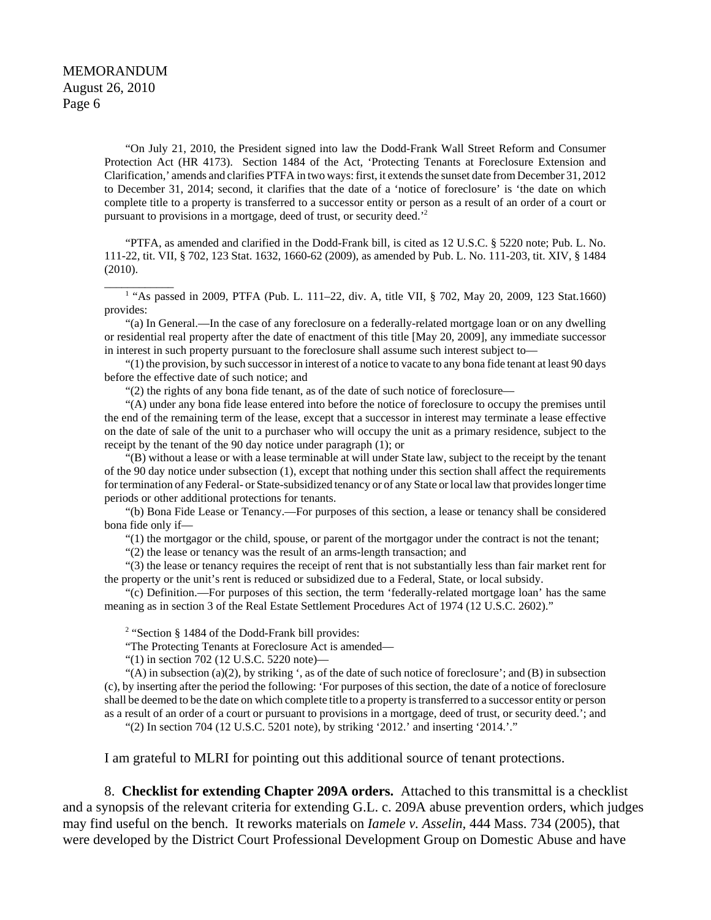\_\_\_\_\_\_\_\_\_\_\_\_

"On July 21, 2010, the President signed into law the Dodd-Frank Wall Street Reform and Consumer Protection Act (HR 4173). Section 1484 of the Act, 'Protecting Tenants at Foreclosure Extension and Clarification,' amends and clarifies PTFA in two ways: first, it extends the sunset date from December 31, 2012 to December 31, 2014; second, it clarifies that the date of a 'notice of foreclosure' is 'the date on which complete title to a property is transferred to a successor entity or person as a result of an order of a court or pursuant to provisions in a mortgage, deed of trust, or security deed.'2

"PTFA, as amended and clarified in the Dodd-Frank bill, is cited as 12 U.S.C. § 5220 note; Pub. L. No. 111-22, tit. VII, § 702, 123 Stat. 1632, 1660-62 (2009), as amended by Pub. L. No. 111-203, tit. XIV, § 1484 (2010).

<sup>1</sup> "As passed in 2009, PTFA (Pub. L. 111–22, div. A, title VII, § 702, May 20, 2009, 123 Stat.1660) provides:

"(a) In General.—In the case of any foreclosure on a federally-related mortgage loan or on any dwelling or residential real property after the date of enactment of this title [May 20, 2009], any immediate successor in interest in such property pursuant to the foreclosure shall assume such interest subject to—

"(1) the provision, by such successor in interest of a notice to vacate to any bona fide tenant at least 90 days before the effective date of such notice; and

"(2) the rights of any bona fide tenant, as of the date of such notice of foreclosure—

"(A) under any bona fide lease entered into before the notice of foreclosure to occupy the premises until the end of the remaining term of the lease, except that a successor in interest may terminate a lease effective on the date of sale of the unit to a purchaser who will occupy the unit as a primary residence, subject to the receipt by the tenant of the 90 day notice under paragraph (1); or

"(B) without a lease or with a lease terminable at will under State law, subject to the receipt by the tenant of the 90 day notice under subsection (1), except that nothing under this section shall affect the requirements for termination of any Federal- or State-subsidized tenancy or of any State or local law that provides longer time periods or other additional protections for tenants.

"(b) Bona Fide Lease or Tenancy.—For purposes of this section, a lease or tenancy shall be considered bona fide only if—

"(1) the mortgagor or the child, spouse, or parent of the mortgagor under the contract is not the tenant;

"(2) the lease or tenancy was the result of an arms-length transaction; and

"(3) the lease or tenancy requires the receipt of rent that is not substantially less than fair market rent for the property or the unit's rent is reduced or subsidized due to a Federal, State, or local subsidy.

"(c) Definition.—For purposes of this section, the term 'federally-related mortgage loan' has the same meaning as in section 3 of the Real Estate Settlement Procedures Act of 1974 (12 U.S.C. 2602)."

 $2$  "Section § 1484 of the Dodd-Frank bill provides:

"The Protecting Tenants at Foreclosure Act is amended—

"(1) in section 702 (12 U.S.C. 5220 note)—

"(A) in subsection (a)(2), by striking ', as of the date of such notice of foreclosure'; and (B) in subsection (c), by inserting after the period the following: 'For purposes of this section, the date of a notice of foreclosure shall be deemed to be the date on which complete title to a property is transferred to a successor entity or person as a result of an order of a court or pursuant to provisions in a mortgage, deed of trust, or security deed.'; and

"(2) In section 704 (12 U.S.C. 5201 note), by striking '2012.' and inserting '2014.'."

I am grateful to MLRI for pointing out this additional source of tenant protections.

8. **Checklist for extending Chapter 209A orders.** Attached to this transmittal is a checklist and a synopsis of the relevant criteria for extending G.L. c. 209A abuse prevention orders, which judges may find useful on the bench. It reworks materials on *Iamele v. Asselin,* 444 Mass. 734 (2005), that were developed by the District Court Professional Development Group on Domestic Abuse and have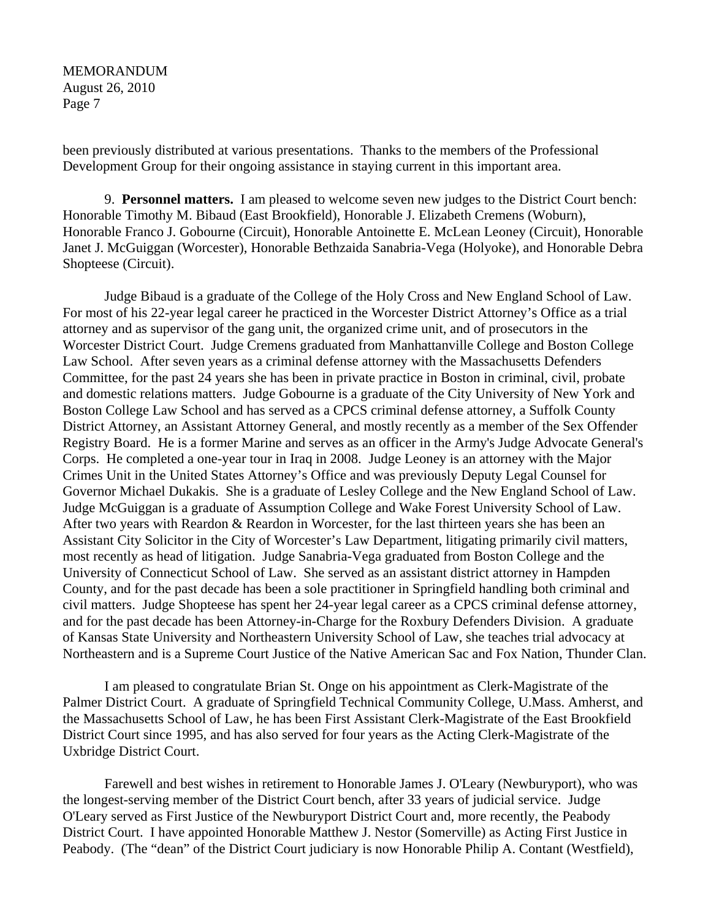been previously distributed at various presentations. Thanks to the members of the Professional Development Group for their ongoing assistance in staying current in this important area.

9. **Personnel matters.** I am pleased to welcome seven new judges to the District Court bench: Honorable Timothy M. Bibaud (East Brookfield), Honorable J. Elizabeth Cremens (Woburn), Honorable Franco J. Gobourne (Circuit), Honorable Antoinette E. McLean Leoney (Circuit), Honorable Janet J. McGuiggan (Worcester), Honorable Bethzaida Sanabria-Vega (Holyoke), and Honorable Debra Shopteese (Circuit).

Judge Bibaud is a graduate of the College of the Holy Cross and New England School of Law. For most of his 22-year legal career he practiced in the Worcester District Attorney's Office as a trial attorney and as supervisor of the gang unit, the organized crime unit, and of prosecutors in the Worcester District Court. Judge Cremens graduated from Manhattanville College and Boston College Law School. After seven years as a criminal defense attorney with the Massachusetts Defenders Committee, for the past 24 years she has been in private practice in Boston in criminal, civil, probate and domestic relations matters. Judge Gobourne is a graduate of the City University of New York and Boston College Law School and has served as a CPCS criminal defense attorney, a Suffolk County District Attorney, an Assistant Attorney General, and mostly recently as a member of the Sex Offender Registry Board. He is a former Marine and serves as an officer in the Army's Judge Advocate General's Corps. He completed a one-year tour in Iraq in 2008. Judge Leoney is an attorney with the Major Crimes Unit in the United States Attorney's Office and was previously Deputy Legal Counsel for Governor Michael Dukakis. She is a graduate of Lesley College and the New England School of Law. Judge McGuiggan is a graduate of Assumption College and Wake Forest University School of Law. After two years with Reardon & Reardon in Worcester, for the last thirteen years she has been an Assistant City Solicitor in the City of Worcester's Law Department, litigating primarily civil matters, most recently as head of litigation. Judge Sanabria-Vega graduated from Boston College and the University of Connecticut School of Law. She served as an assistant district attorney in Hampden County, and for the past decade has been a sole practitioner in Springfield handling both criminal and civil matters. Judge Shopteese has spent her 24-year legal career as a CPCS criminal defense attorney, and for the past decade has been Attorney-in-Charge for the Roxbury Defenders Division. A graduate of Kansas State University and Northeastern University School of Law, she teaches trial advocacy at Northeastern and is a Supreme Court Justice of the Native American Sac and Fox Nation, Thunder Clan.

I am pleased to congratulate Brian St. Onge on his appointment as Clerk-Magistrate of the Palmer District Court. A graduate of Springfield Technical Community College, U.Mass. Amherst, and the Massachusetts School of Law, he has been First Assistant Clerk-Magistrate of the East Brookfield District Court since 1995, and has also served for four years as the Acting Clerk-Magistrate of the Uxbridge District Court.

Farewell and best wishes in retirement to Honorable James J. O'Leary (Newburyport), who was the longest-serving member of the District Court bench, after 33 years of judicial service. Judge O'Leary served as First Justice of the Newburyport District Court and, more recently, the Peabody District Court. I have appointed Honorable Matthew J. Nestor (Somerville) as Acting First Justice in Peabody. (The "dean" of the District Court judiciary is now Honorable Philip A. Contant (Westfield),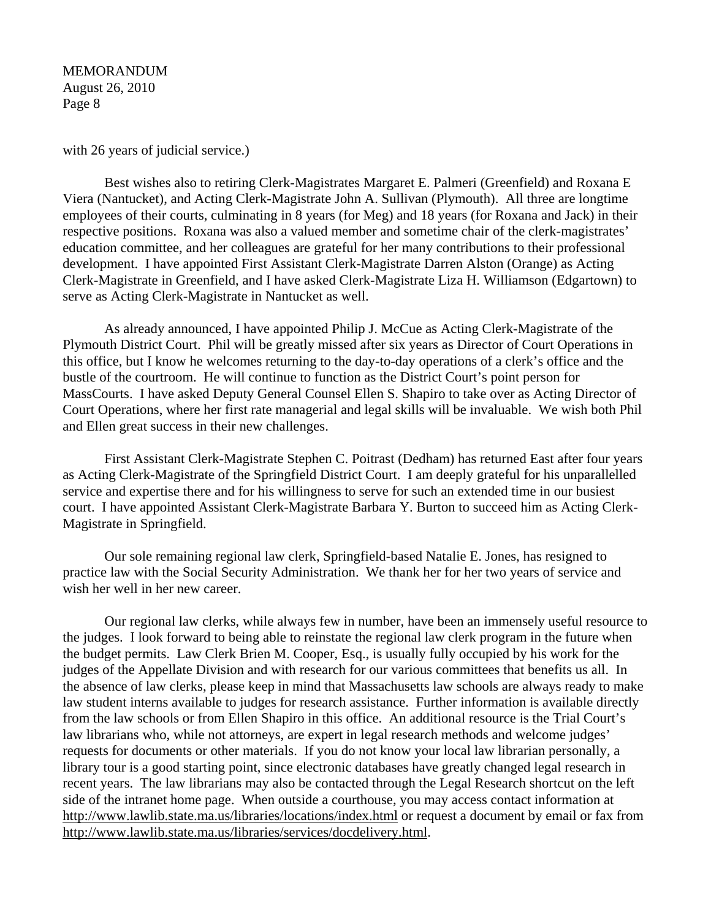with 26 years of judicial service.)

Best wishes also to retiring Clerk-Magistrates Margaret E. Palmeri (Greenfield) and Roxana E Viera (Nantucket), and Acting Clerk-Magistrate John A. Sullivan (Plymouth). All three are longtime employees of their courts, culminating in 8 years (for Meg) and 18 years (for Roxana and Jack) in their respective positions. Roxana was also a valued member and sometime chair of the clerk-magistrates' education committee, and her colleagues are grateful for her many contributions to their professional development. I have appointed First Assistant Clerk-Magistrate Darren Alston (Orange) as Acting Clerk-Magistrate in Greenfield, and I have asked Clerk-Magistrate Liza H. Williamson (Edgartown) to serve as Acting Clerk-Magistrate in Nantucket as well.

As already announced, I have appointed Philip J. McCue as Acting Clerk-Magistrate of the Plymouth District Court. Phil will be greatly missed after six years as Director of Court Operations in this office, but I know he welcomes returning to the day-to-day operations of a clerk's office and the bustle of the courtroom. He will continue to function as the District Court's point person for MassCourts. I have asked Deputy General Counsel Ellen S. Shapiro to take over as Acting Director of Court Operations, where her first rate managerial and legal skills will be invaluable. We wish both Phil and Ellen great success in their new challenges.

First Assistant Clerk-Magistrate Stephen C. Poitrast (Dedham) has returned East after four years as Acting Clerk-Magistrate of the Springfield District Court. I am deeply grateful for his unparallelled service and expertise there and for his willingness to serve for such an extended time in our busiest court. I have appointed Assistant Clerk-Magistrate Barbara Y. Burton to succeed him as Acting Clerk-Magistrate in Springfield.

Our sole remaining regional law clerk, Springfield-based Natalie E. Jones, has resigned to practice law with the Social Security Administration. We thank her for her two years of service and wish her well in her new career.

Our regional law clerks, while always few in number, have been an immensely useful resource to the judges. I look forward to being able to reinstate the regional law clerk program in the future when the budget permits. Law Clerk Brien M. Cooper, Esq., is usually fully occupied by his work for the judges of the Appellate Division and with research for our various committees that benefits us all. In the absence of law clerks, please keep in mind that Massachusetts law schools are always ready to make law student interns available to judges for research assistance. Further information is available directly from the law schools or from Ellen Shapiro in this office. An additional resource is the Trial Court's law librarians who, while not attorneys, are expert in legal research methods and welcome judges' requests for documents or other materials. If you do not know your local law librarian personally, a library tour is a good starting point, since electronic databases have greatly changed legal research in recent years. The law librarians may also be contacted through the Legal Research shortcut on the left side of the intranet home page. When outside a courthouse, you may access contact information at http://www.lawlib.state.ma.us/libraries/locations/index.html or request a document by email or fax from http://www.lawlib.state.ma.us/libraries/services/docdelivery.html.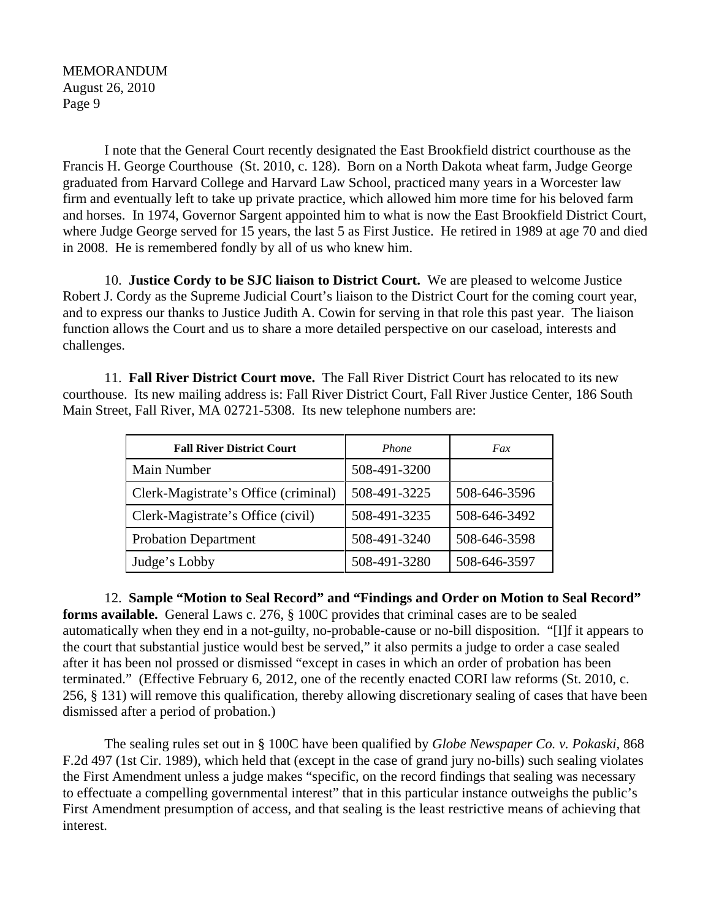I note that the General Court recently designated the East Brookfield district courthouse as the Francis H. George Courthouse (St. 2010, c. 128). Born on a North Dakota wheat farm, Judge George graduated from Harvard College and Harvard Law School, practiced many years in a Worcester law firm and eventually left to take up private practice, which allowed him more time for his beloved farm and horses. In 1974, Governor Sargent appointed him to what is now the East Brookfield District Court, where Judge George served for 15 years, the last 5 as First Justice. He retired in 1989 at age 70 and died in 2008. He is remembered fondly by all of us who knew him.

10. **Justice Cordy to be SJC liaison to District Court.** We are pleased to welcome Justice Robert J. Cordy as the Supreme Judicial Court's liaison to the District Court for the coming court year, and to express our thanks to Justice Judith A. Cowin for serving in that role this past year. The liaison function allows the Court and us to share a more detailed perspective on our caseload, interests and challenges.

11. **Fall River District Court move.** The Fall River District Court has relocated to its new courthouse. Its new mailing address is: Fall River District Court, Fall River Justice Center, 186 South Main Street, Fall River, MA 02721-5308. Its new telephone numbers are:

| <b>Fall River District Court</b>     | Phone        | Fax          |
|--------------------------------------|--------------|--------------|
| Main Number                          | 508-491-3200 |              |
| Clerk-Magistrate's Office (criminal) | 508-491-3225 | 508-646-3596 |
| Clerk-Magistrate's Office (civil)    | 508-491-3235 | 508-646-3492 |
| <b>Probation Department</b>          | 508-491-3240 | 508-646-3598 |
| Judge's Lobby                        | 508-491-3280 | 508-646-3597 |

12. **Sample "Motion to Seal Record" and "Findings and Order on Motion to Seal Record" forms available.** General Laws c. 276, § 100C provides that criminal cases are to be sealed automatically when they end in a not-guilty, no-probable-cause or no-bill disposition. "[I]f it appears to the court that substantial justice would best be served," it also permits a judge to order a case sealed after it has been nol prossed or dismissed "except in cases in which an order of probation has been terminated." (Effective February 6, 2012, one of the recently enacted CORI law reforms (St. 2010, c. 256, § 131) will remove this qualification, thereby allowing discretionary sealing of cases that have been dismissed after a period of probation.)

The sealing rules set out in § 100C have been qualified by *Globe Newspaper Co. v. Pokaski,* 868 F.2d 497 (1st Cir. 1989), which held that (except in the case of grand jury no-bills) such sealing violates the First Amendment unless a judge makes "specific, on the record findings that sealing was necessary to effectuate a compelling governmental interest" that in this particular instance outweighs the public's First Amendment presumption of access, and that sealing is the least restrictive means of achieving that interest.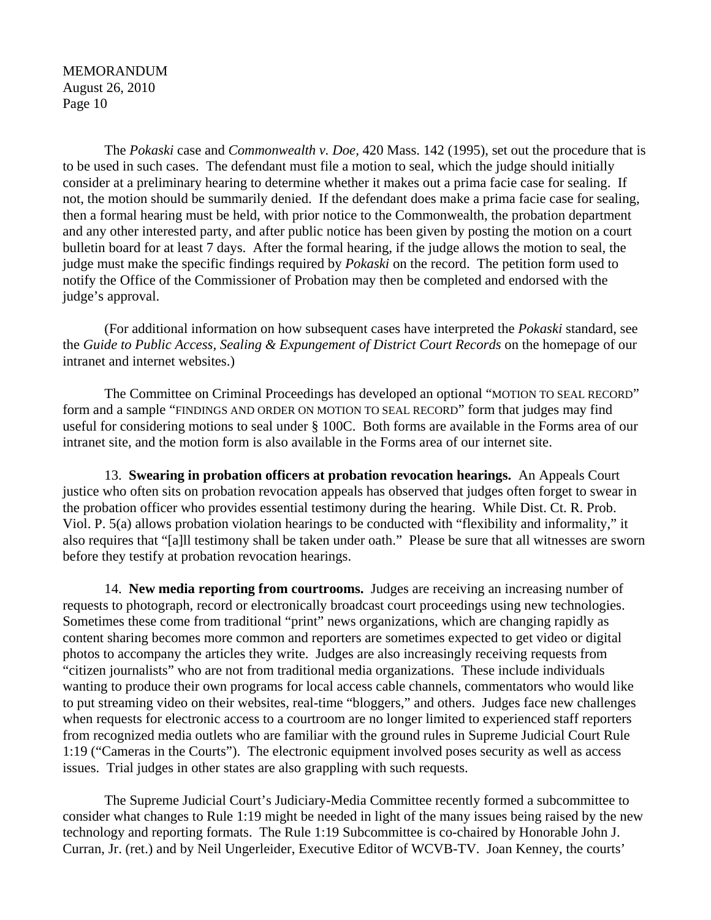The *Pokaski* case and *Commonwealth v. Doe,* 420 Mass. 142 (1995), set out the procedure that is to be used in such cases. The defendant must file a motion to seal, which the judge should initially consider at a preliminary hearing to determine whether it makes out a prima facie case for sealing. If not, the motion should be summarily denied. If the defendant does make a prima facie case for sealing, then a formal hearing must be held, with prior notice to the Commonwealth, the probation department and any other interested party, and after public notice has been given by posting the motion on a court bulletin board for at least 7 days. After the formal hearing, if the judge allows the motion to seal, the judge must make the specific findings required by *Pokaski* on the record. The petition form used to notify the Office of the Commissioner of Probation may then be completed and endorsed with the judge's approval.

(For additional information on how subsequent cases have interpreted the *Pokaski* standard, see the *Guide to Public Access, Sealing & Expungement of District Court Records* on the homepage of our intranet and internet websites.)

The Committee on Criminal Proceedings has developed an optional "MOTION TO SEAL RECORD" form and a sample "FINDINGS AND ORDER ON MOTION TO SEAL RECORD" form that judges may find useful for considering motions to seal under § 100C. Both forms are available in the Forms area of our intranet site, and the motion form is also available in the Forms area of our internet site.

13. **Swearing in probation officers at probation revocation hearings.** An Appeals Court justice who often sits on probation revocation appeals has observed that judges often forget to swear in the probation officer who provides essential testimony during the hearing. While Dist. Ct. R. Prob. Viol. P. 5(a) allows probation violation hearings to be conducted with "flexibility and informality," it also requires that "[a]ll testimony shall be taken under oath." Please be sure that all witnesses are sworn before they testify at probation revocation hearings.

14. **New media reporting from courtrooms.** Judges are receiving an increasing number of requests to photograph, record or electronically broadcast court proceedings using new technologies. Sometimes these come from traditional "print" news organizations, which are changing rapidly as content sharing becomes more common and reporters are sometimes expected to get video or digital photos to accompany the articles they write. Judges are also increasingly receiving requests from "citizen journalists" who are not from traditional media organizations. These include individuals wanting to produce their own programs for local access cable channels, commentators who would like to put streaming video on their websites, real-time "bloggers," and others. Judges face new challenges when requests for electronic access to a courtroom are no longer limited to experienced staff reporters from recognized media outlets who are familiar with the ground rules in Supreme Judicial Court Rule 1:19 ("Cameras in the Courts"). The electronic equipment involved poses security as well as access issues. Trial judges in other states are also grappling with such requests.

The Supreme Judicial Court's Judiciary-Media Committee recently formed a subcommittee to consider what changes to Rule 1:19 might be needed in light of the many issues being raised by the new technology and reporting formats. The Rule 1:19 Subcommittee is co-chaired by Honorable John J. Curran, Jr. (ret.) and by Neil Ungerleider, Executive Editor of WCVB-TV. Joan Kenney, the courts'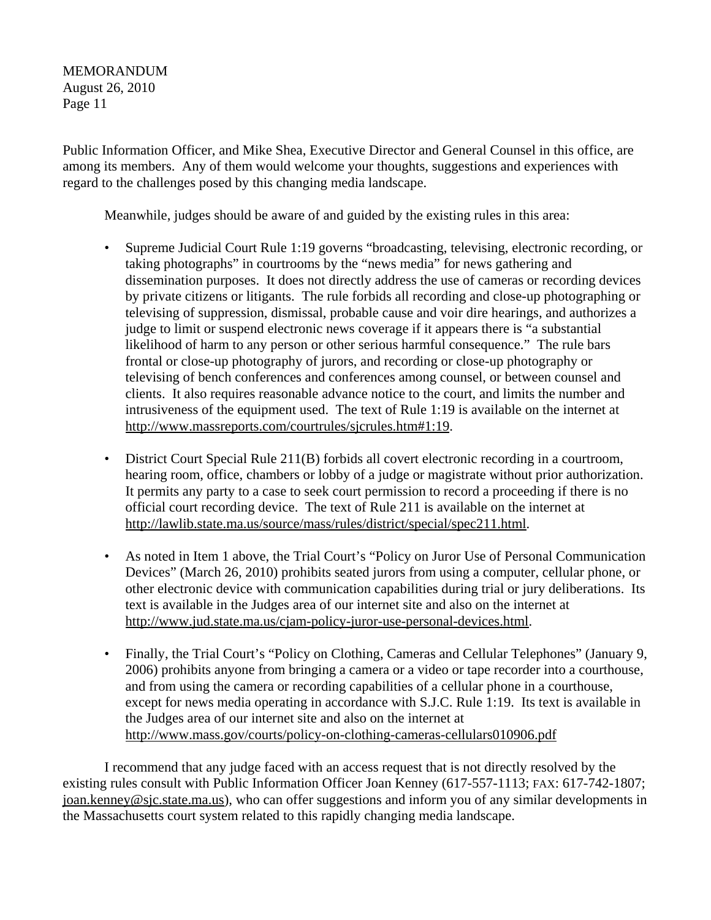Public Information Officer, and Mike Shea, Executive Director and General Counsel in this office, are among its members. Any of them would welcome your thoughts, suggestions and experiences with regard to the challenges posed by this changing media landscape.

Meanwhile, judges should be aware of and guided by the existing rules in this area:

- Supreme Judicial Court Rule 1:19 governs "broadcasting, televising, electronic recording, or taking photographs" in courtrooms by the "news media" for news gathering and dissemination purposes. It does not directly address the use of cameras or recording devices by private citizens or litigants. The rule forbids all recording and close-up photographing or televising of suppression, dismissal, probable cause and voir dire hearings, and authorizes a judge to limit or suspend electronic news coverage if it appears there is "a substantial likelihood of harm to any person or other serious harmful consequence." The rule bars frontal or close-up photography of jurors, and recording or close-up photography or televising of bench conferences and conferences among counsel, or between counsel and clients. It also requires reasonable advance notice to the court, and limits the number and intrusiveness of the equipment used. The text of Rule 1:19 is available on the internet at http://www.massreports.com/courtrules/sjcrules.htm#1:19.
- District Court Special Rule 211(B) forbids all covert electronic recording in a courtroom, hearing room, office, chambers or lobby of a judge or magistrate without prior authorization. It permits any party to a case to seek court permission to record a proceeding if there is no official court recording device. The text of Rule 211 is available on the internet at http://lawlib.state.ma.us/source/mass/rules/district/special/spec211.html.
- As noted in Item 1 above, the Trial Court's "Policy on Juror Use of Personal Communication Devices" (March 26, 2010) prohibits seated jurors from using a computer, cellular phone, or other electronic device with communication capabilities during trial or jury deliberations. Its text is available in the Judges area of our internet site and also on the internet at http://www.jud.state.ma.us/cjam-policy-juror-use-personal-devices.html.
- Finally, the Trial Court's "Policy on Clothing, Cameras and Cellular Telephones" (January 9, 2006) prohibits anyone from bringing a camera or a video or tape recorder into a courthouse, and from using the camera or recording capabilities of a cellular phone in a courthouse, except for news media operating in accordance with S.J.C. Rule 1:19. Its text is available in the Judges area of our internet site and also on the internet at http://www.mass.gov/courts/policy-on-clothing-cameras-cellulars010906.pdf

I recommend that any judge faced with an access request that is not directly resolved by the existing rules consult with Public Information Officer Joan Kenney (617-557-1113; FAX: 617-742-1807; joan.kenney@sjc.state.ma.us), who can offer suggestions and inform you of any similar developments in the Massachusetts court system related to this rapidly changing media landscape.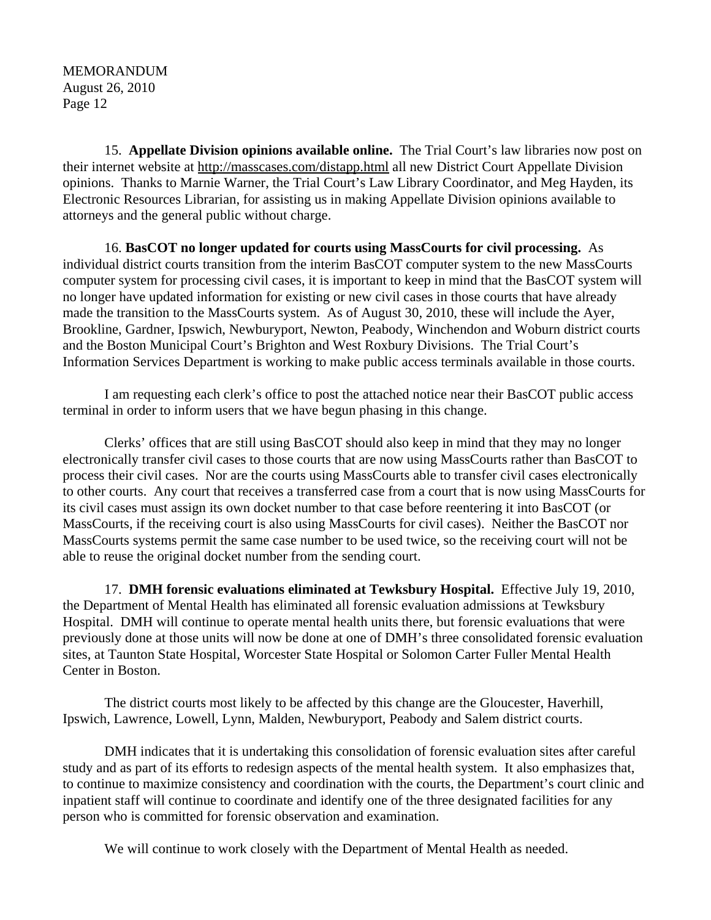15. **Appellate Division opinions available online.** The Trial Court's law libraries now post on their internet website at http://masscases.com/distapp.html all new District Court Appellate Division opinions. Thanks to Marnie Warner, the Trial Court's Law Library Coordinator, and Meg Hayden, its Electronic Resources Librarian, for assisting us in making Appellate Division opinions available to attorneys and the general public without charge.

16. **BasCOT no longer updated for courts using MassCourts for civil processing.** As individual district courts transition from the interim BasCOT computer system to the new MassCourts computer system for processing civil cases, it is important to keep in mind that the BasCOT system will no longer have updated information for existing or new civil cases in those courts that have already made the transition to the MassCourts system. As of August 30, 2010, these will include the Ayer, Brookline, Gardner, Ipswich, Newburyport, Newton, Peabody, Winchendon and Woburn district courts and the Boston Municipal Court's Brighton and West Roxbury Divisions. The Trial Court's Information Services Department is working to make public access terminals available in those courts.

I am requesting each clerk's office to post the attached notice near their BasCOT public access terminal in order to inform users that we have begun phasing in this change.

Clerks' offices that are still using BasCOT should also keep in mind that they may no longer electronically transfer civil cases to those courts that are now using MassCourts rather than BasCOT to process their civil cases. Nor are the courts using MassCourts able to transfer civil cases electronically to other courts. Any court that receives a transferred case from a court that is now using MassCourts for its civil cases must assign its own docket number to that case before reentering it into BasCOT (or MassCourts, if the receiving court is also using MassCourts for civil cases). Neither the BasCOT nor MassCourts systems permit the same case number to be used twice, so the receiving court will not be able to reuse the original docket number from the sending court.

17. **DMH forensic evaluations eliminated at Tewksbury Hospital.** Effective July 19, 2010, the Department of Mental Health has eliminated all forensic evaluation admissions at Tewksbury Hospital. DMH will continue to operate mental health units there, but forensic evaluations that were previously done at those units will now be done at one of DMH's three consolidated forensic evaluation sites, at Taunton State Hospital, Worcester State Hospital or Solomon Carter Fuller Mental Health Center in Boston.

The district courts most likely to be affected by this change are the Gloucester, Haverhill, Ipswich, Lawrence, Lowell, Lynn, Malden, Newburyport, Peabody and Salem district courts.

DMH indicates that it is undertaking this consolidation of forensic evaluation sites after careful study and as part of its efforts to redesign aspects of the mental health system. It also emphasizes that, to continue to maximize consistency and coordination with the courts, the Department's court clinic and inpatient staff will continue to coordinate and identify one of the three designated facilities for any person who is committed for forensic observation and examination.

We will continue to work closely with the Department of Mental Health as needed.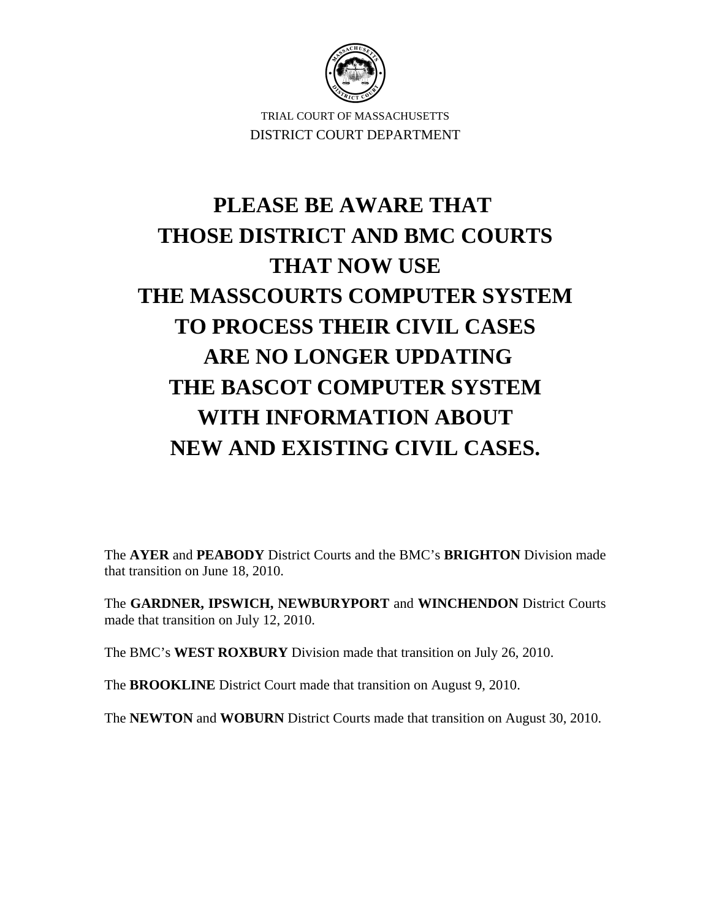

TRIAL COURT OF MASSACHUSETTS DISTRICT COURT DEPARTMENT

## **PLEASE BE AWARE THAT THOSE DISTRICT AND BMC COURTS THAT NOW USE THE MASSCOURTS COMPUTER SYSTEM TO PROCESS THEIR CIVIL CASES ARE NO LONGER UPDATING THE BASCOT COMPUTER SYSTEM WITH INFORMATION ABOUT NEW AND EXISTING CIVIL CASES.**

The **AYER** and **PEABODY** District Courts and the BMC's **BRIGHTON** Division made that transition on June 18, 2010.

The **GARDNER, IPSWICH, NEWBURYPORT** and **WINCHENDON** District Courts made that transition on July 12, 2010.

The BMC's **WEST ROXBURY** Division made that transition on July 26, 2010.

The **BROOKLINE** District Court made that transition on August 9, 2010.

The **NEWTON** and **WOBURN** District Courts made that transition on August 30, 2010.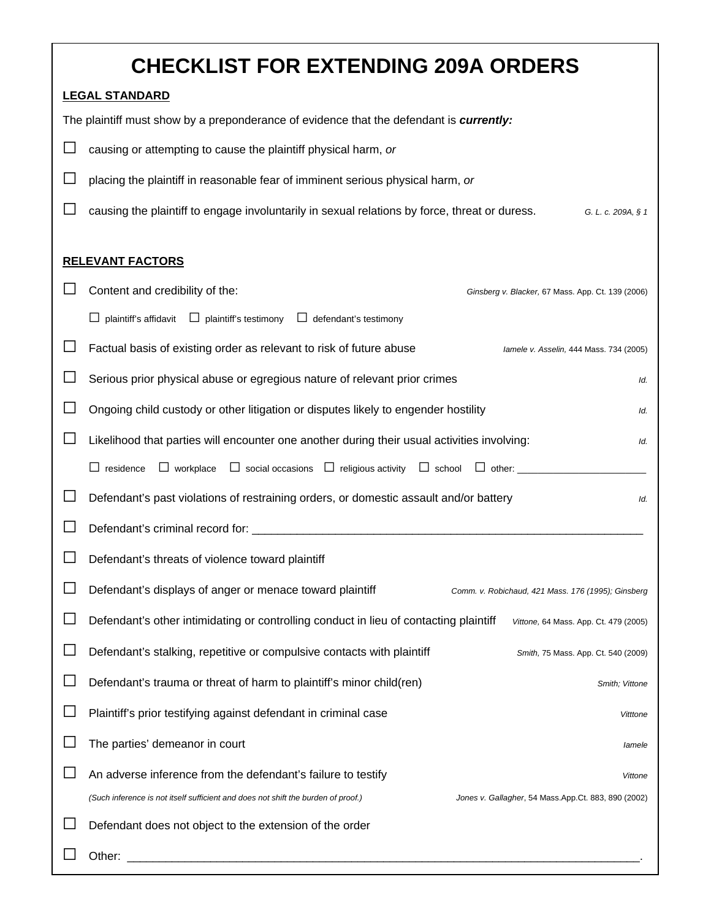| <b>CHECKLIST FOR EXTENDING 209A ORDERS</b>                                                                                               |  |  |
|------------------------------------------------------------------------------------------------------------------------------------------|--|--|
| <b>LEGAL STANDARD</b>                                                                                                                    |  |  |
| The plaintiff must show by a preponderance of evidence that the defendant is currently:                                                  |  |  |
| causing or attempting to cause the plaintiff physical harm, or                                                                           |  |  |
| placing the plaintiff in reasonable fear of imminent serious physical harm, or                                                           |  |  |
| causing the plaintiff to engage involuntarily in sexual relations by force, threat or duress.<br>G. L. c. 209A, § 1                      |  |  |
|                                                                                                                                          |  |  |
| <b>RELEVANT FACTORS</b>                                                                                                                  |  |  |
| Content and credibility of the:<br>Ginsberg v. Blacker, 67 Mass. App. Ct. 139 (2006)                                                     |  |  |
| $\Box$ plaintiff's affidavit $\Box$ plaintiff's testimony $\Box$ defendant's testimony                                                   |  |  |
| Factual basis of existing order as relevant to risk of future abuse<br>lamele v. Asselin, 444 Mass. 734 (2005)                           |  |  |
| Serious prior physical abuse or egregious nature of relevant prior crimes<br>Id.                                                         |  |  |
| Ongoing child custody or other litigation or disputes likely to engender hostility<br>Id.                                                |  |  |
| Likelihood that parties will encounter one another during their usual activities involving:<br>Id.                                       |  |  |
| $\Box$ residence<br>$\Box$ workplace<br>$\Box$ social occasions $\Box$ religious activity $\Box$ school<br>$\Box$ other:                 |  |  |
| Defendant's past violations of restraining orders, or domestic assault and/or battery<br>Id.                                             |  |  |
|                                                                                                                                          |  |  |
| Defendant's threats of violence toward plaintiff                                                                                         |  |  |
| Defendant's displays of anger or menace toward plaintiff<br>Comm. v. Robichaud, 421 Mass. 176 (1995); Ginsberg                           |  |  |
| Defendant's other intimidating or controlling conduct in lieu of contacting plaintiff<br>Vittone, 64 Mass. App. Ct. 479 (2005)           |  |  |
| Defendant's stalking, repetitive or compulsive contacts with plaintiff<br>Smith, 75 Mass. App. Ct. 540 (2009)                            |  |  |
| Defendant's trauma or threat of harm to plaintiff's minor child(ren)<br>Smith; Vittone                                                   |  |  |
| Plaintiff's prior testifying against defendant in criminal case<br>Vitttone                                                              |  |  |
| The parties' demeanor in court<br>lamele                                                                                                 |  |  |
| An adverse inference from the defendant's failure to testify<br>Vittone                                                                  |  |  |
| (Such inference is not itself sufficient and does not shift the burden of proof.)<br>Jones v. Gallagher, 54 Mass.App.Ct. 883, 890 (2002) |  |  |
| Defendant does not object to the extension of the order                                                                                  |  |  |
| Other:                                                                                                                                   |  |  |